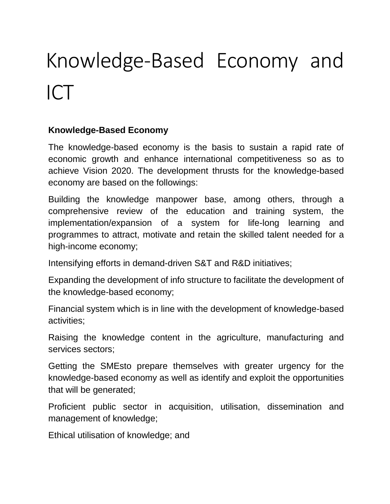# Knowledge-Based Economy and ICT

#### **Knowledge-Based Economy**

The knowledge-based economy is the basis to sustain a rapid rate of economic growth and enhance international competitiveness so as to achieve Vision 2020. The development thrusts for the knowledge-based economy are based on the followings:

Building the knowledge manpower base, among others, through a comprehensive review of the education and training system, the implementation/expansion of a system for life-long learning and programmes to attract, motivate and retain the skilled talent needed for a high-income economy;

Intensifying efforts in demand-driven S&T and R&D initiatives;

Expanding the development of info structure to facilitate the development of the knowledge-based economy;

Financial system which is in line with the development of knowledge-based activities;

Raising the knowledge content in the agriculture, manufacturing and services sectors;

Getting the SMEsto prepare themselves with greater urgency for the knowledge-based economy as well as identify and exploit the opportunities that will be generated;

Proficient public sector in acquisition, utilisation, dissemination and management of knowledge;

Ethical utilisation of knowledge; and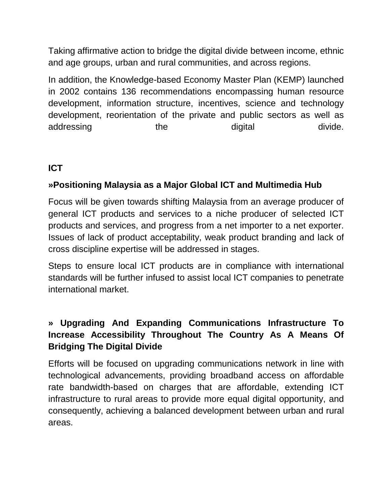Taking affirmative action to bridge the digital divide between income, ethnic and age groups, urban and rural communities, and across regions.

In addition, the Knowledge-based Economy Master Plan (KEMP) launched in 2002 contains 136 recommendations encompassing human resource development, information structure, incentives, science and technology development, reorientation of the private and public sectors as well as addressing the digital divide.

# **ICT**

#### **»Positioning Malaysia as a Major Global ICT and Multimedia Hub**

Focus will be given towards shifting Malaysia from an average producer of general ICT products and services to a niche producer of selected ICT products and services, and progress from a net importer to a net exporter. Issues of lack of product acceptability, weak product branding and lack of cross discipline expertise will be addressed in stages.

Steps to ensure local ICT products are in compliance with international standards will be further infused to assist local ICT companies to penetrate international market.

## **» Upgrading And Expanding Communications Infrastructure To Increase Accessibility Throughout The Country As A Means Of Bridging The Digital Divide**

Efforts will be focused on upgrading communications network in line with technological advancements, providing broadband access on affordable rate bandwidth-based on charges that are affordable, extending ICT infrastructure to rural areas to provide more equal digital opportunity, and consequently, achieving a balanced development between urban and rural areas.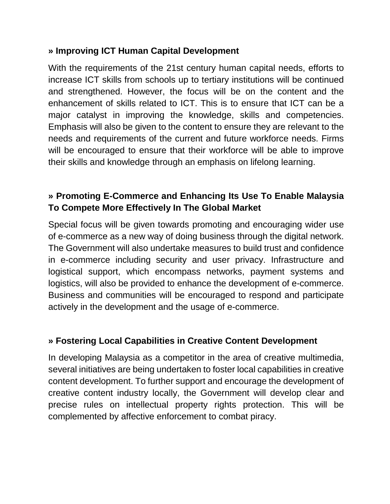#### **» Improving ICT Human Capital Development**

With the requirements of the 21st century human capital needs, efforts to increase ICT skills from schools up to tertiary institutions will be continued and strengthened. However, the focus will be on the content and the enhancement of skills related to ICT. This is to ensure that ICT can be a major catalyst in improving the knowledge, skills and competencies. Emphasis will also be given to the content to ensure they are relevant to the needs and requirements of the current and future workforce needs. Firms will be encouraged to ensure that their workforce will be able to improve their skills and knowledge through an emphasis on lifelong learning.

## **» Promoting E-Commerce and Enhancing Its Use To Enable Malaysia To Compete More Effectively In The Global Market**

Special focus will be given towards promoting and encouraging wider use of e-commerce as a new way of doing business through the digital network. The Government will also undertake measures to build trust and confidence in e-commerce including security and user privacy. Infrastructure and logistical support, which encompass networks, payment systems and logistics, will also be provided to enhance the development of e-commerce. Business and communities will be encouraged to respond and participate actively in the development and the usage of e-commerce.

#### **» Fostering Local Capabilities in Creative Content Development**

In developing Malaysia as a competitor in the area of creative multimedia, several initiatives are being undertaken to foster local capabilities in creative content development. To further support and encourage the development of creative content industry locally, the Government will develop clear and precise rules on intellectual property rights protection. This will be complemented by affective enforcement to combat piracy.